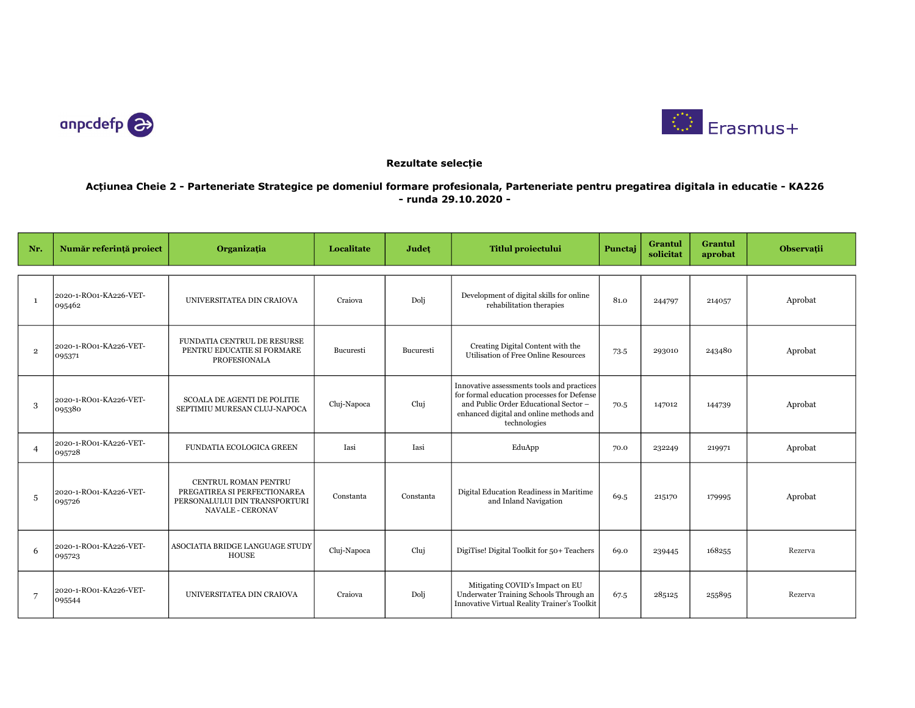



## Rezultate selecție

## Acțiunea Cheie 2 - Parteneriate Strategice pe domeniul formare profesionala, Parteneriate pentru pregatirea digitala in educatie - KA226 - runda 29.10.2020 -

| Nr.            | Număr referință proiect          | Organizația                                                                                                      | Localitate  | Județ     | <b>Titlul proiectului</b>                                                                                                                                                                    | Punctaj | Grantul<br>solicitat | Grantul<br>aprobat | Observații |
|----------------|----------------------------------|------------------------------------------------------------------------------------------------------------------|-------------|-----------|----------------------------------------------------------------------------------------------------------------------------------------------------------------------------------------------|---------|----------------------|--------------------|------------|
|                |                                  |                                                                                                                  |             |           |                                                                                                                                                                                              |         |                      |                    |            |
| $\mathbf{1}$   | 2020-1-RO01-KA226-VET-<br>095462 | UNIVERSITATEA DIN CRAIOVA                                                                                        | Craiova     | Dolj      | Development of digital skills for online<br>rehabilitation therapies                                                                                                                         | 81.0    | 244797               | 214057             | Aprobat    |
| $\overline{2}$ | 2020-1-RO01-KA226-VET-<br>095371 | FUNDATIA CENTRUL DE RESURSE<br>PENTRU EDUCATIE SI FORMARE<br><b>PROFESIONALA</b>                                 | Bucuresti   | Bucuresti | Creating Digital Content with the<br>Utilisation of Free Online Resources                                                                                                                    | 73.5    | 293010               | 243480             | Aprobat    |
| 3              | 2020-1-RO01-KA226-VET-<br>095380 | SCOALA DE AGENTI DE POLITIE<br>SEPTIMIU MURESAN CLUJ-NAPOCA                                                      | Cluj-Napoca | Clui      | Innovative assessments tools and practices<br>for formal education processes for Defense<br>and Public Order Educational Sector -<br>enhanced digital and online methods and<br>technologies | 70.5    | 147012               | 144739             | Aprobat    |
| $\overline{4}$ | 2020-1-RO01-KA226-VET-<br>095728 | FUNDATIA ECOLOGICA GREEN                                                                                         | Iasi        | Iasi      | EduApp                                                                                                                                                                                       | 70.0    | 232249               | 219971             | Aprobat    |
| 5              | 2020-1-RO01-KA226-VET-<br>095726 | CENTRUL ROMAN PENTRU<br>PREGATIREA SI PERFECTIONAREA<br>PERSONALULUI DIN TRANSPORTURI<br><b>NAVALE - CERONAV</b> | Constanta   | Constanta | Digital Education Readiness in Maritime<br>and Inland Navigation                                                                                                                             | 69.5    | 215170               | 179995             | Aprobat    |
| 6              | 2020-1-RO01-KA226-VET-<br>095723 | ASOCIATIA BRIDGE LANGUAGE STUDY<br><b>HOUSE</b>                                                                  | Cluj-Napoca | Clui      | DigiTise! Digital Toolkit for 50+ Teachers                                                                                                                                                   | 69.0    | 239445               | 168255             | Rezerva    |
| 7              | 2020-1-RO01-KA226-VET-<br>095544 | UNIVERSITATEA DIN CRAIOVA                                                                                        | Craiova     | Doli      | Mitigating COVID's Impact on EU<br>Underwater Training Schools Through an<br>Innovative Virtual Reality Trainer's Toolkit                                                                    | 67.5    | 285125               | 255895             | Rezerva    |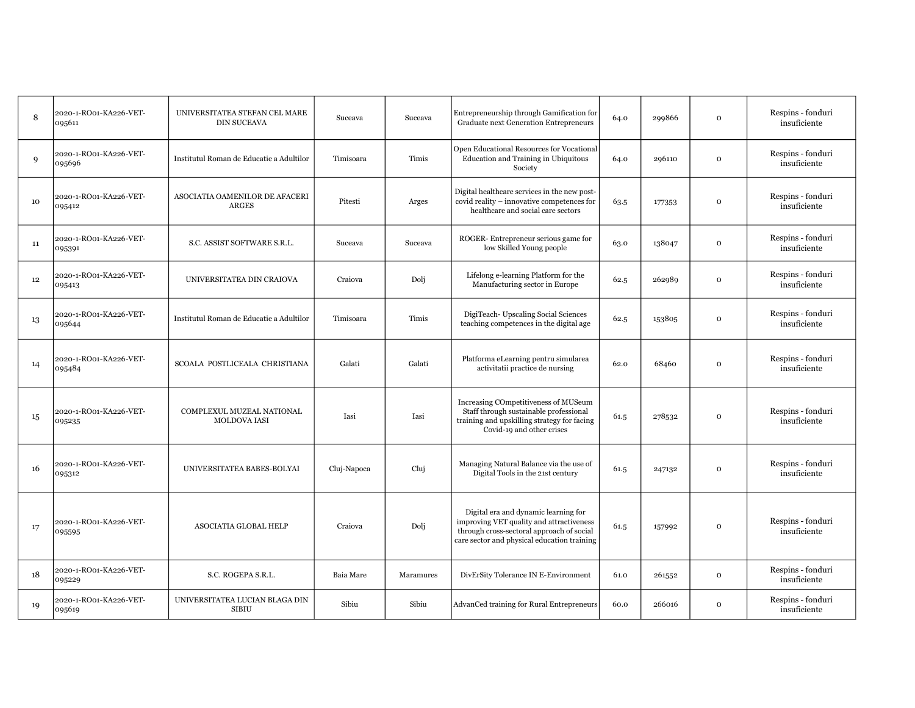| 8  | 2020-1-RO01-KA226-VET-<br>095611 | UNIVERSITATEA STEFAN CEL MARE<br><b>DIN SUCEAVA</b> | Suceava     | Suceava   | Entrepreneurship through Gamification for<br>Graduate next Generation Entrepreneurs                                                                                          | 64.0 | 299866 | $\mathbf{o}$ | Respins - fonduri<br>insuficiente |
|----|----------------------------------|-----------------------------------------------------|-------------|-----------|------------------------------------------------------------------------------------------------------------------------------------------------------------------------------|------|--------|--------------|-----------------------------------|
| 9  | 2020-1-RO01-KA226-VET-<br>095696 | Institutul Roman de Educatie a Adultilor            | Timisoara   | Timis     | Open Educational Resources for Vocational<br>Education and Training in Ubiquitous<br>Society                                                                                 | 64.0 | 296110 | $\mathbf{o}$ | Respins - fonduri<br>insuficiente |
| 10 | 2020-1-RO01-KA226-VET-<br>095412 | ASOCIATIA OAMENILOR DE AFACERI<br><b>ARGES</b>      | Pitesti     | Arges     | Digital healthcare services in the new post-<br>covid reality – innovative competences for<br>healthcare and social care sectors                                             | 63.5 | 177353 | $\mathbf{o}$ | Respins - fonduri<br>insuficiente |
| 11 | 2020-1-RO01-KA226-VET-<br>095391 | S.C. ASSIST SOFTWARE S.R.L.                         | Suceava     | Suceava   | ROGER-Entrepreneur serious game for<br>low Skilled Young people                                                                                                              | 63.0 | 138047 | $\mathbf{o}$ | Respins - fonduri<br>insuficiente |
| 12 | 2020-1-RO01-KA226-VET-<br>095413 | UNIVERSITATEA DIN CRAIOVA                           | Craiova     | Doli      | Lifelong e-learning Platform for the<br>Manufacturing sector in Europe                                                                                                       | 62.5 | 262989 | $\mathbf 0$  | Respins - fonduri<br>insuficiente |
| 13 | 2020-1-RO01-KA226-VET-<br>095644 | Institutul Roman de Educatie a Adultilor            | Timisoara   | Timis     | DigiTeach-Upscaling Social Sciences<br>teaching competences in the digital age                                                                                               | 62.5 | 153805 | $\mathbf{O}$ | Respins - fonduri<br>insuficiente |
| 14 | 2020-1-RO01-KA226-VET-<br>095484 | SCOALA POSTLICEALA CHRISTIANA                       | Galati      | Galati    | Platforma eLearning pentru simularea<br>activitatii practice de nursing                                                                                                      | 62.0 | 68460  | $\mathbf{o}$ | Respins - fonduri<br>insuficiente |
| 15 | 2020-1-RO01-KA226-VET-<br>095235 | COMPLEXUL MUZEAL NATIONAL<br><b>MOLDOVA IASI</b>    | Iasi        | Iasi      | Increasing COmpetitiveness of MUSeum<br>Staff through sustainable professional<br>training and upskilling strategy for facing<br>Covid-19 and other crises                   | 61.5 | 278532 | $\mathbf{o}$ | Respins - fonduri<br>insuficiente |
| 16 | 2020-1-RO01-KA226-VET-<br>095312 | UNIVERSITATEA BABES-BOLYAI                          | Cluj-Napoca | Cluj      | Managing Natural Balance via the use of<br>Digital Tools in the 21st century                                                                                                 | 61.5 | 247132 | $\mathbf 0$  | Respins - fonduri<br>insuficiente |
| 17 | 2020-1-RO01-KA226-VET-<br>095595 | ASOCIATIA GLOBAL HELP                               | Craiova     | Dolj      | Digital era and dynamic learning for<br>improving VET quality and attractiveness<br>through cross-sectoral approach of social<br>care sector and physical education training | 61.5 | 157992 | $\mathbf 0$  | Respins - fonduri<br>insuficiente |
| 18 | 2020-1-RO01-KA226-VET-<br>095229 | S.C. ROGEPA S.R.L.                                  | Baia Mare   | Maramures | DivErSity Tolerance IN E-Environment                                                                                                                                         | 61.0 | 261552 | $\mathbf 0$  | Respins - fonduri<br>insuficiente |
| 19 | 2020-1-RO01-KA226-VET-<br>095619 | UNIVERSITATEA LUCIAN BLAGA DIN<br><b>SIBIU</b>      | Sibiu       | Sibiu     | AdvanCed training for Rural Entrepreneurs                                                                                                                                    | 60.0 | 266016 | $\mathbf{o}$ | Respins - fonduri<br>insuficiente |